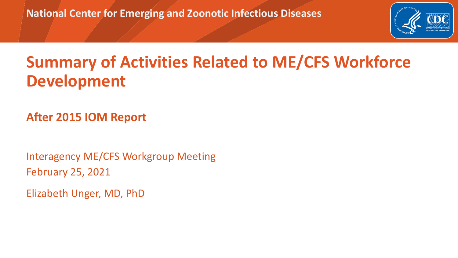**National Center for Emerging and Zoonotic Infectious Diseases**



## **Summary of Activities Related to ME/CFS Workforce Development**

**After 2015 IOM Report**

Interagency ME/CFS Workgroup Meeting February 25, 2021

Elizabeth Unger, MD, PhD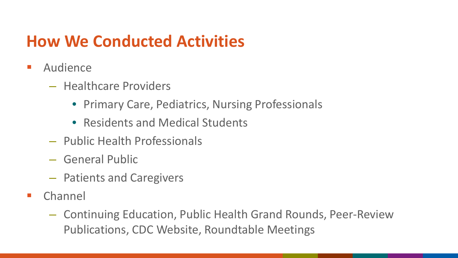## **How We Conducted Activities**

- **Audience** 
	- Healthcare Providers
		- Primary Care, Pediatrics, Nursing Professionals
		- Residents and Medical Students
	- Public Health Professionals
	- General Public
	- Patients and Caregivers
- **E** Channel
	- Continuing Education, Public Health Grand Rounds, Peer-Review Publications, CDC Website, Roundtable Meetings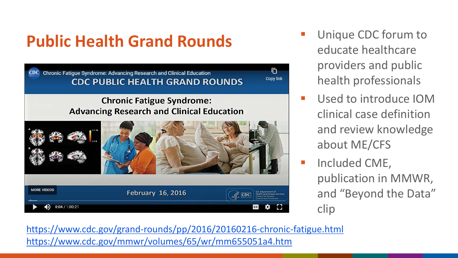# **Public Health Grand Rounds Unique CDC forum to**



- educate healthcare providers and public health professionals
- **Used to introduce IOM** clinical case definition and review knowledge about ME/CFS
- **Included CME,** publication in MMWR, and "Beyond the Data" clip

<https://www.cdc.gov/grand-rounds/pp/2016/20160216-chronic-fatigue.html> <https://www.cdc.gov/mmwr/volumes/65/wr/mm655051a4.htm>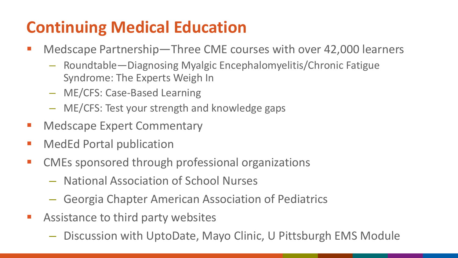## **Continuing Medical Education**

- Medscape Partnership—Three CME courses with over 42,000 learners
	- Roundtable—Diagnosing Myalgic Encephalomyelitis/Chronic Fatigue Syndrome: The Experts Weigh In
	- ME/CFS: Case-Based Learning
	- ME/CFS: Test your strength and knowledge gaps
- **E** Medscape Expert Commentary
- **MedEd Portal publication**
- CMEs sponsored through professional organizations
	- National Association of School Nurses
	- Georgia Chapter American Association of Pediatrics
- **Assistance to third party websites** 
	- Discussion with UptoDate, Mayo Clinic, U Pittsburgh EMS Module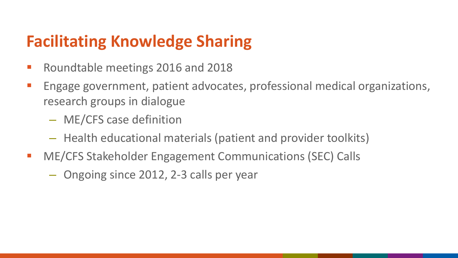### **Facilitating Knowledge Sharing**

- **Roundtable meetings 2016 and 2018**
- **Engage government, patient advocates, professional medical organizations,** research groups in dialogue
	- ME/CFS case definition
	- Health educational materials (patient and provider toolkits)
- ME/CFS Stakeholder Engagement Communications (SEC) Calls
	- Ongoing since 2012, 2-3 calls per year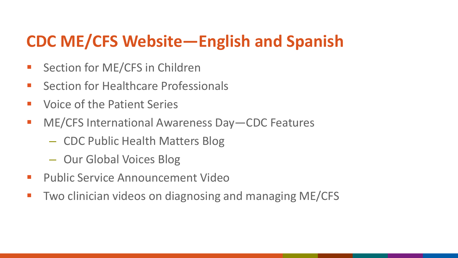## **CDC ME/CFS Website—English and Spanish**

- **Section for ME/CFS in Children**
- **Section for Healthcare Professionals**
- **UPER 19 Voice of the Patient Series**
- ME/CFS International Awareness Day CDC Features
	- CDC Public Health Matters Blog
	- Our Global Voices Blog
- **Public Service Announcement Video**
- **Two clinician videos on diagnosing and managing ME/CFS**